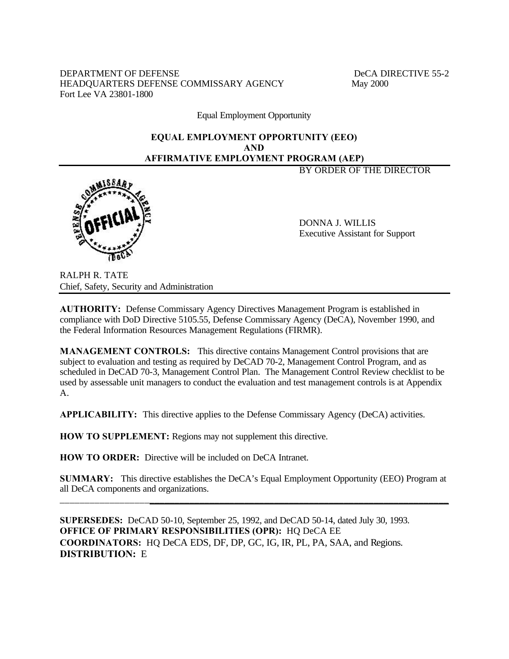DEPARTMENT OF DEFENSE DECA DIRECTIVE 55-2 HEADQUARTERS DEFENSE COMMISSARY AGENCY May 2000 Fort Lee VA 23801-1800

Equal Employment Opportunity

# **EQUAL EMPLOYMENT OPPORTUNITY (EEO) AND AFFIRMATIVE EMPLOYMENT PROGRAM (AEP)**

BY ORDER OF THE DIRECTOR



DONNA J. WILLIS Executive Assistant for Support

RALPH R. TATE Chief, Safety, Security and Administration

**AUTHORITY:** Defense Commissary Agency Directives Management Program is established in compliance with DoD Directive 5105.55, Defense Commissary Agency (DeCA), November 1990, and the Federal Information Resources Management Regulations (FIRMR).

**MANAGEMENT CONTROLS:** This directive contains Management Control provisions that are subject to evaluation and testing as required by DeCAD 70-2, Management Control Program, and as scheduled in DeCAD 70-3, Management Control Plan. The Management Control Review checklist to be used by assessable unit managers to conduct the evaluation and test management controls is at Appendix A.

**APPLICABILITY:** This directive applies to the Defense Commissary Agency (DeCA) activities.

**HOW TO SUPPLEMENT:** Regions may not supplement this directive.

**HOW TO ORDER:** Directive will be included on DeCA Intranet.

**SUMMARY:** This directive establishes the DeCA's Equal Employment Opportunity (EEO) Program at all DeCA components and organizations. \_\_\_\_\_\_\_\_\_\_\_\_\_\_\_\_\_\_\_\_\_\_\_\_\_\_\_\_\_\_\_\_\_\_\_\_\_\_\_\_\_\_\_\_\_\_\_\_\_\_\_\_\_\_\_\_\_\_\_\_\_\_\_\_\_\_\_\_\_\_\_\_\_\_\_\_\_\_

**SUPERSEDES:** DeCAD 50-10, September 25, 1992, and DeCAD 50-14, dated July 30, 1993. **OFFICE OF PRIMARY RESPONSIBILITIES (OPR):** HQ DeCA EE **COORDINATORS:** HQ DeCA EDS, DF, DP, GC, IG, IR, PL, PA, SAA, and Regions. **DISTRIBUTION:** E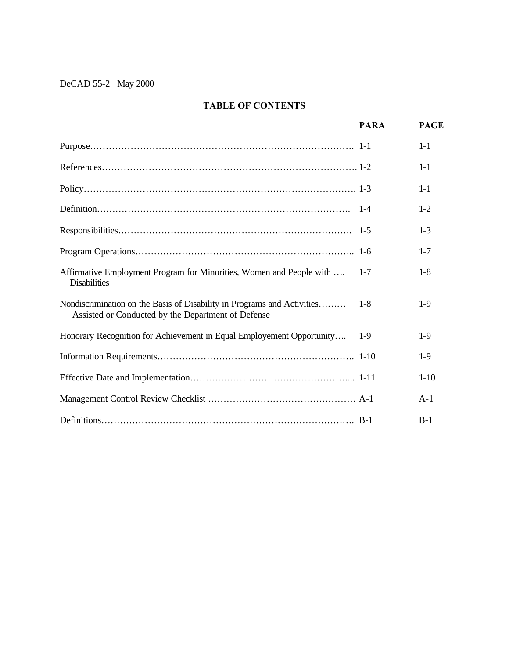# **TABLE OF CONTENTS**

|                                                                                                                               | <b>PARA</b> | <b>PAGE</b> |
|-------------------------------------------------------------------------------------------------------------------------------|-------------|-------------|
|                                                                                                                               |             | $1 - 1$     |
|                                                                                                                               |             | $1 - 1$     |
|                                                                                                                               |             | $1 - 1$     |
|                                                                                                                               |             | $1 - 2$     |
|                                                                                                                               |             | $1 - 3$     |
|                                                                                                                               |             | $1 - 7$     |
| Affirmative Employment Program for Minorities, Women and People with<br><b>Disabilities</b>                                   | $1 - 7$     | $1 - 8$     |
| Nondiscrimination on the Basis of Disability in Programs and Activities<br>Assisted or Conducted by the Department of Defense | $1 - 8$     | $1-9$       |
| Honorary Recognition for Achievement in Equal Employement Opportunity                                                         | $1-9$       | $1-9$       |
|                                                                                                                               |             | $1-9$       |
|                                                                                                                               |             | $1-10$      |
|                                                                                                                               |             | $A-1$       |
|                                                                                                                               |             | $B-1$       |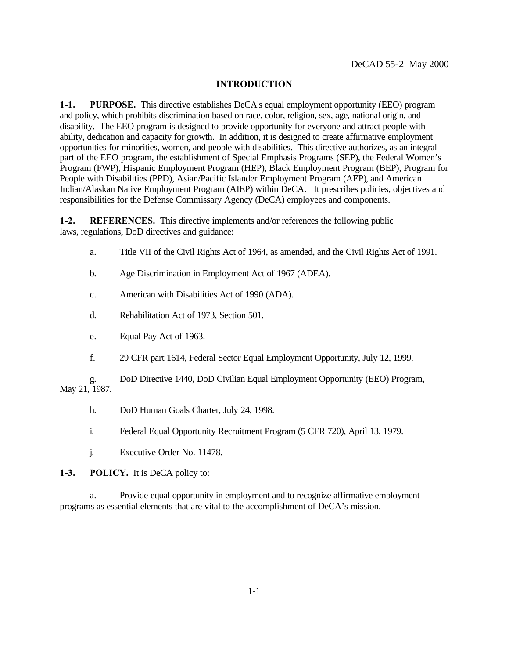#### **INTRODUCTION**

**1-1. PURPOSE.** This directive establishes DeCA's equal employment opportunity (EEO) program and policy, which prohibits discrimination based on race, color, religion, sex, age, national origin, and disability. The EEO program is designed to provide opportunity for everyone and attract people with ability, dedication and capacity for growth. In addition, it is designed to create affirmative employment opportunities for minorities, women, and people with disabilities. This directive authorizes, as an integral part of the EEO program, the establishment of Special Emphasis Programs (SEP), the Federal Women's Program (FWP), Hispanic Employment Program (HEP), Black Employment Program (BEP), Program for People with Disabilities (PPD), Asian/Pacific Islander Employment Program (AEP), and American Indian/Alaskan Native Employment Program (AIEP) within DeCA. It prescribes policies, objectives and responsibilities for the Defense Commissary Agency (DeCA) employees and components.

**1-2. REFERENCES.** This directive implements and/or references the following public laws, regulations, DoD directives and guidance:

- a. Title VII of the Civil Rights Act of 1964, as amended, and the Civil Rights Act of 1991.
- b. Age Discrimination in Employment Act of 1967 (ADEA).
- c. American with Disabilities Act of 1990 (ADA).
- d. Rehabilitation Act of 1973, Section 501.
- e. Equal Pay Act of 1963.
- f. 29 CFR part 1614, Federal Sector Equal Employment Opportunity, July 12, 1999.

g. DoD Directive 1440, DoD Civilian Equal Employment Opportunity (EEO) Program, May 21, 1987.

- h. DoD Human Goals Charter, July 24, 1998.
- i. Federal Equal Opportunity Recruitment Program (5 CFR 720), April 13, 1979.
- j. Executive Order No. 11478.

**1-3. POLICY.** It is DeCA policy to:

a. Provide equal opportunity in employment and to recognize affirmative employment programs as essential elements that are vital to the accomplishment of DeCA's mission.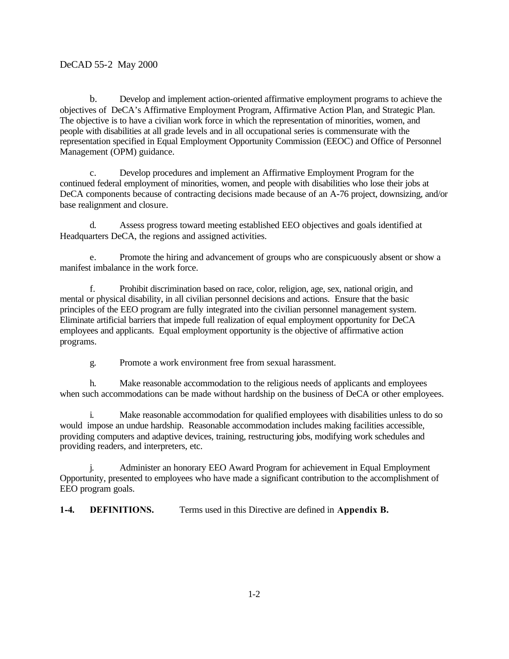b. Develop and implement action-oriented affirmative employment programs to achieve the objectives of DeCA's Affirmative Employment Program, Affirmative Action Plan, and Strategic Plan. The objective is to have a civilian work force in which the representation of minorities, women, and people with disabilities at all grade levels and in all occupational series is commensurate with the representation specified in Equal Employment Opportunity Commission (EEOC) and Office of Personnel Management (OPM) guidance.

c. Develop procedures and implement an Affirmative Employment Program for the continued federal employment of minorities, women, and people with disabilities who lose their jobs at DeCA components because of contracting decisions made because of an A-76 project, downsizing, and/or base realignment and closure.

d. Assess progress toward meeting established EEO objectives and goals identified at Headquarters DeCA, the regions and assigned activities.

e. Promote the hiring and advancement of groups who are conspicuously absent or show a manifest imbalance in the work force.

f. Prohibit discrimination based on race, color, religion, age, sex, national origin, and mental or physical disability, in all civilian personnel decisions and actions. Ensure that the basic principles of the EEO program are fully integrated into the civilian personnel management system. Eliminate artificial barriers that impede full realization of equal employment opportunity for DeCA employees and applicants. Equal employment opportunity is the objective of affirmative action programs.

g. Promote a work environment free from sexual harassment.

h. Make reasonable accommodation to the religious needs of applicants and employees when such accommodations can be made without hardship on the business of DeCA or other employees.

i. Make reasonable accommodation for qualified employees with disabilities unless to do so would impose an undue hardship. Reasonable accommodation includes making facilities accessible, providing computers and adaptive devices, training, restructuring jobs, modifying work schedules and providing readers, and interpreters, etc.

j. Administer an honorary EEO Award Program for achievement in Equal Employment Opportunity, presented to employees who have made a significant contribution to the accomplishment of EEO program goals.

**1-4. DEFINITIONS.** Terms used in this Directive are defined in **Appendix B.**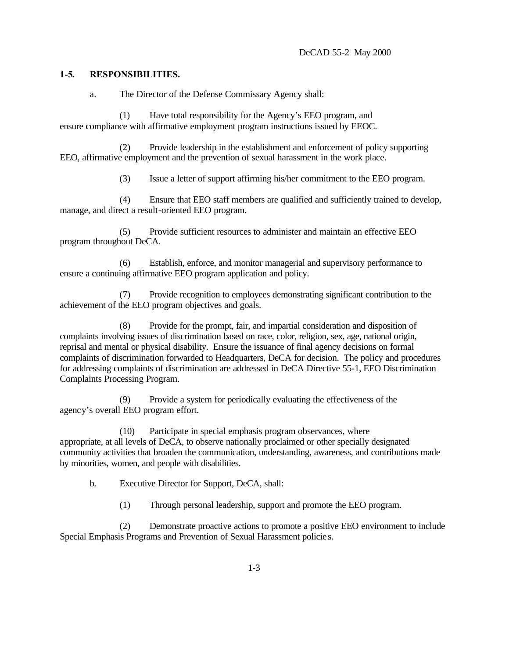## **1-5. RESPONSIBILITIES.**

a. The Director of the Defense Commissary Agency shall:

(1) Have total responsibility for the Agency's EEO program, and ensure compliance with affirmative employment program instructions issued by EEOC.

(2) Provide leadership in the establishment and enforcement of policy supporting EEO, affirmative employment and the prevention of sexual harassment in the work place.

(3) Issue a letter of support affirming his/her commitment to the EEO program.

(4) Ensure that EEO staff members are qualified and sufficiently trained to develop, manage, and direct a result-oriented EEO program.

(5) Provide sufficient resources to administer and maintain an effective EEO program throughout DeCA.

(6) Establish, enforce, and monitor managerial and supervisory performance to ensure a continuing affirmative EEO program application and policy.

(7) Provide recognition to employees demonstrating significant contribution to the achievement of the EEO program objectives and goals.

(8) Provide for the prompt, fair, and impartial consideration and disposition of complaints involving issues of discrimination based on race, color, religion, sex, age, national origin, reprisal and mental or physical disability. Ensure the issuance of final agency decisions on formal complaints of discrimination forwarded to Headquarters, DeCA for decision. The policy and procedures for addressing complaints of discrimination are addressed in DeCA Directive 55-1, EEO Discrimination Complaints Processing Program.

(9) Provide a system for periodically evaluating the effectiveness of the agency's overall EEO program effort.

(10) Participate in special emphasis program observances, where appropriate, at all levels of DeCA, to observe nationally proclaimed or other specially designated community activities that broaden the communication, understanding, awareness, and contributions made by minorities, women, and people with disabilities.

b. Executive Director for Support, DeCA, shall:

(1) Through personal leadership, support and promote the EEO program.

(2) Demonstrate proactive actions to promote a positive EEO environment to include Special Emphasis Programs and Prevention of Sexual Harassment policie s.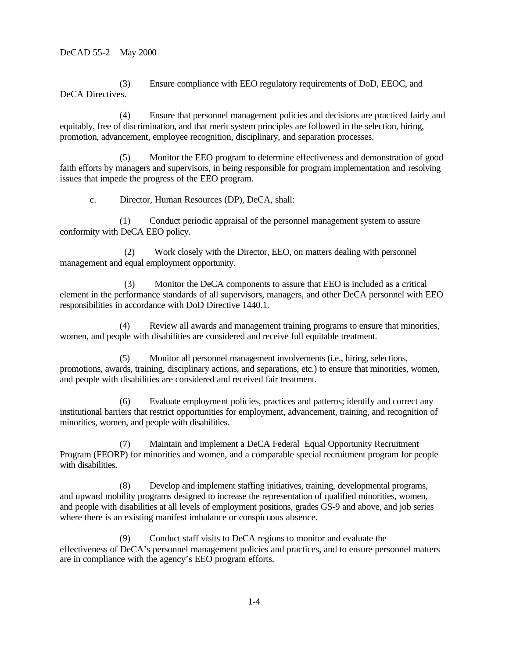(3) Ensure compliance with EEO regulatory requirements of DoD, EEOC, and DeCA Directives.

(4) Ensure that personnel management policies and decisions are practiced fairly and equitably, free of discrimination, and that merit system principles are followed in the selection, hiring, promotion, advancement, employee recognition, disciplinary, and separation processes.

(5) Monitor the EEO program to determine effectiveness and demonstration of good faith efforts by managers and supervisors, in being responsible for program implementation and resolving issues that impede the progress of the EEO program.

c. Director, Human Resources (DP), DeCA, shall:

(1) Conduct periodic appraisal of the personnel management system to assure conformity with DeCA EEO policy.

 (2) Work closely with the Director, EEO, on matters dealing with personnel management and equal employment opportunity.

 (3) Monitor the DeCA components to assure that EEO is included as a critical element in the performance standards of all supervisors, managers, and other DeCA personnel with EEO responsibilities in accordance with DoD Directive 1440.1.

(4) Review all awards and management training programs to ensure that minorities, women, and people with disabilities are considered and receive full equitable treatment.

(5) Monitor all personnel management involvements (i.e., hiring, selections, promotions, awards, training, disciplinary actions, and separations, etc.) to ensure that minorities, women, and people with disabilities are considered and received fair treatment.

(6) Evaluate employment policies, practices and patterns; identify and correct any institutional barriers that restrict opportunities for employment, advancement, training, and recognition of minorities, women, and people with disabilities.

(7) Maintain and implement a DeCA Federal Equal Opportunity Recruitment Program (FEORP) for minorities and women, and a comparable special recruitment program for people with disabilities.

(8) Develop and implement staffing initiatives, training, developmental programs, and upward mobility programs designed to increase the representation of qualified minorities, women, and people with disabilities at all levels of employment positions, grades GS-9 and above, and job series where there is an existing manifest imbalance or conspicuous absence.

(9) Conduct staff visits to DeCA regions to monitor and evaluate the effectiveness of DeCA's personnel management policies and practices, and to ensure personnel matters are in compliance with the agency's EEO program efforts.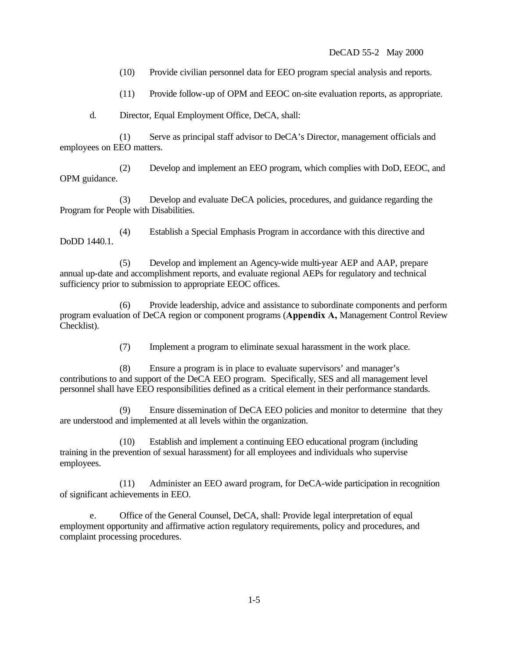(10) Provide civilian personnel data for EEO program special analysis and reports.

(11) Provide follow-up of OPM and EEOC on-site evaluation reports, as appropriate.

d. Director, Equal Employment Office, DeCA, shall:

(1) Serve as principal staff advisor to DeCA's Director, management officials and employees on EEO matters.

(2) Develop and implement an EEO program, which complies with DoD, EEOC, and OPM guidance.

(3) Develop and evaluate DeCA policies, procedures, and guidance regarding the Program for People with Disabilities.

(4) Establish a Special Emphasis Program in accordance with this directive and DoDD 1440.1.

(5) Develop and implement an Agency-wide multi-year AEP and AAP, prepare annual up-date and accomplishment reports, and evaluate regional AEPs for regulatory and technical sufficiency prior to submission to appropriate EEOC offices.

(6) Provide leadership, advice and assistance to subordinate components and perform program evaluation of DeCA region or component programs (**Appendix A,** Management Control Review Checklist).

(7) Implement a program to eliminate sexual harassment in the work place.

(8) Ensure a program is in place to evaluate supervisors' and manager's contributions to and support of the DeCA EEO program. Specifically, SES and all management level personnel shall have EEO responsibilities defined as a critical element in their performance standards.

(9) Ensure dissemination of DeCA EEO policies and monitor to determine that they are understood and implemented at all levels within the organization.

(10) Establish and implement a continuing EEO educational program (including training in the prevention of sexual harassment) for all employees and individuals who supervise employees.

(11) Administer an EEO award program, for DeCA-wide participation in recognition of significant achievements in EEO.

e. Office of the General Counsel, DeCA, shall: Provide legal interpretation of equal employment opportunity and affirmative action regulatory requirements, policy and procedures, and complaint processing procedures.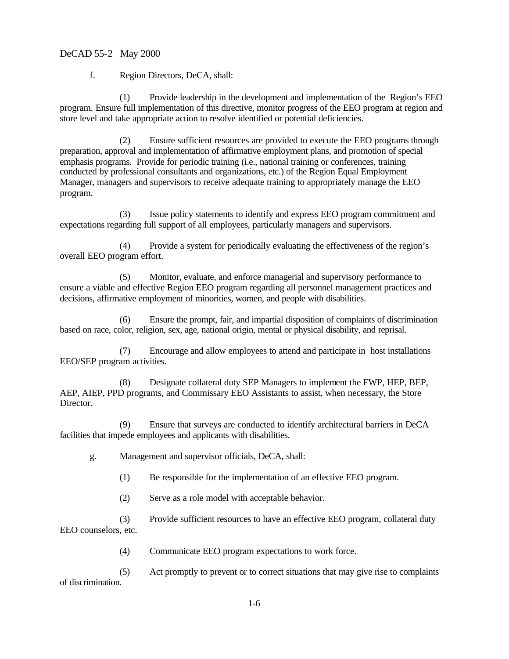f. Region Directors, DeCA, shall:

(1) Provide leadership in the development and implementation of the Region's EEO program. Ensure full implementation of this directive, monitor progress of the EEO program at region and store level and take appropriate action to resolve identified or potential deficiencies.

(2) Ensure sufficient resources are provided to execute the EEO programs through preparation, approval and implementation of affirmative employment plans, and promotion of special emphasis programs. Provide for periodic training (i.e., national training or conferences, training conducted by professional consultants and organizations, etc.) of the Region Equal Employment Manager, managers and supervisors to receive adequate training to appropriately manage the EEO program.

(3) Issue policy statements to identify and express EEO program commitment and expectations regarding full support of all employees, particularly managers and supervisors.

(4) Provide a system for periodically evaluating the effectiveness of the region's overall EEO program effort.

(5) Monitor, evaluate, and enforce managerial and supervisory performance to ensure a viable and effective Region EEO program regarding all personnel management practices and decisions, affirmative employment of minorities, women, and people with disabilities.

(6) Ensure the prompt, fair, and impartial disposition of complaints of discrimination based on race, color, religion, sex, age, national origin, mental or physical disability, and reprisal.

(7) Encourage and allow employees to attend and participate in host installations EEO/SEP program activities.

(8) Designate collateral duty SEP Managers to implement the FWP, HEP, BEP, AEP, AIEP, PPD programs, and Commissary EEO Assistants to assist, when necessary, the Store Director.

(9) Ensure that surveys are conducted to identify architectural barriers in DeCA facilities that impede employees and applicants with disabilities.

g. Management and supervisor officials, DeCA, shall:

(1) Be responsible for the implementation of an effective EEO program.

(2) Serve as a role model with acceptable behavior.

(3) Provide sufficient resources to have an effective EEO program, collateral duty EEO counselors, etc.

(4) Communicate EEO program expectations to work force.

(5) Act promptly to prevent or to correct situations that may give rise to complaints of discrimination.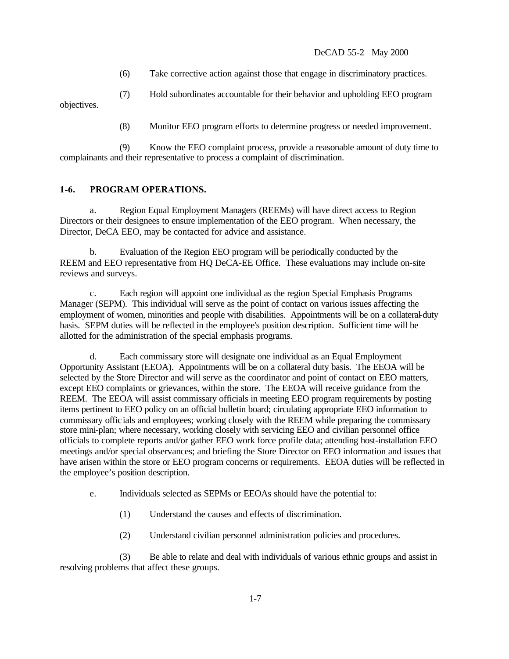(6) Take corrective action against those that engage in discriminatory practices.

(7) Hold subordinates accountable for their behavior and upholding EEO program objectives.

(8) Monitor EEO program efforts to determine progress or needed improvement.

(9) Know the EEO complaint process, provide a reasonable amount of duty time to complainants and their representative to process a complaint of discrimination.

# **1-6. PROGRAM OPERATIONS.**

a. Region Equal Employment Managers (REEMs) will have direct access to Region Directors or their designees to ensure implementation of the EEO program. When necessary, the Director, DeCA EEO, may be contacted for advice and assistance.

b. Evaluation of the Region EEO program will be periodically conducted by the REEM and EEO representative from HQ DeCA-EE Office. These evaluations may include on-site reviews and surveys.

c. Each region will appoint one individual as the region Special Emphasis Programs Manager (SEPM). This individual will serve as the point of contact on various issues affecting the employment of women, minorities and people with disabilities. Appointments will be on a collateral-duty basis. SEPM duties will be reflected in the employee's position description. Sufficient time will be allotted for the administration of the special emphasis programs.

d. Each commissary store will designate one individual as an Equal Employment Opportunity Assistant (EEOA). Appointments will be on a collateral duty basis. The EEOA will be selected by the Store Director and will serve as the coordinator and point of contact on EEO matters, except EEO complaints or grievances, within the store. The EEOA will receive guidance from the REEM. The EEOA will assist commissary officials in meeting EEO program requirements by posting items pertinent to EEO policy on an official bulletin board; circulating appropriate EEO information to commissary officials and employees; working closely with the REEM while preparing the commissary store mini-plan; where necessary, working closely with servicing EEO and civilian personnel office officials to complete reports and/or gather EEO work force profile data; attending host-installation EEO meetings and/or special observances; and briefing the Store Director on EEO information and issues that have arisen within the store or EEO program concerns or requirements. EEOA duties will be reflected in the employee's position description.

- e. Individuals selected as SEPMs or EEOAs should have the potential to:
	- (1) Understand the causes and effects of discrimination.
	- (2) Understand civilian personnel administration policies and procedures.

(3) Be able to relate and deal with individuals of various ethnic groups and assist in resolving problems that affect these groups.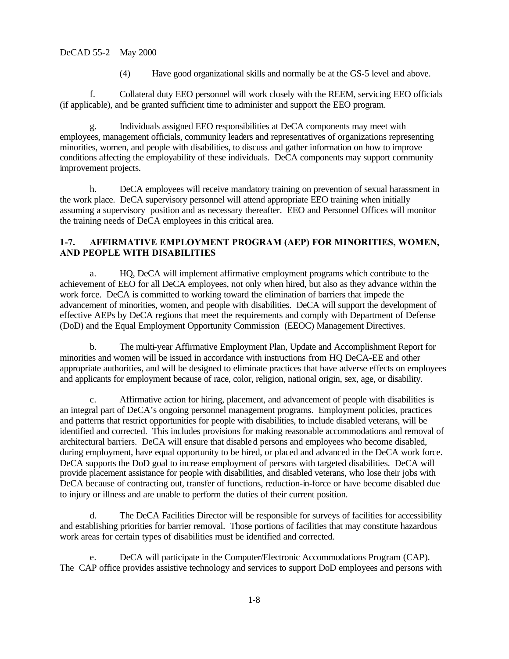(4) Have good organizational skills and normally be at the GS-5 level and above.

f. Collateral duty EEO personnel will work closely with the REEM, servicing EEO officials (if applicable), and be granted sufficient time to administer and support the EEO program.

g. Individuals assigned EEO responsibilities at DeCA components may meet with employees, management officials, community leaders and representatives of organizations representing minorities, women, and people with disabilities, to discuss and gather information on how to improve conditions affecting the employability of these individuals. DeCA components may support community improvement projects.

h. DeCA employees will receive mandatory training on prevention of sexual harassment in the work place. DeCA supervisory personnel will attend appropriate EEO training when initially assuming a supervisory position and as necessary thereafter. EEO and Personnel Offices will monitor the training needs of DeCA employees in this critical area.

## **1-7. AFFIRMATIVE EMPLOYMENT PROGRAM (AEP) FOR MINORITIES, WOMEN, AND PEOPLE WITH DISABILITIES**

a. HQ, DeCA will implement affirmative employment programs which contribute to the achievement of EEO for all DeCA employees, not only when hired, but also as they advance within the work force. DeCA is committed to working toward the elimination of barriers that impede the advancement of minorities, women, and people with disabilities. DeCA will support the development of effective AEPs by DeCA regions that meet the requirements and comply with Department of Defense (DoD) and the Equal Employment Opportunity Commission (EEOC) Management Directives.

b. The multi-year Affirmative Employment Plan, Update and Accomplishment Report for minorities and women will be issued in accordance with instructions from HQ DeCA-EE and other appropriate authorities, and will be designed to eliminate practices that have adverse effects on employees and applicants for employment because of race, color, religion, national origin, sex, age, or disability.

c. Affirmative action for hiring, placement, and advancement of people with disabilities is an integral part of DeCA's ongoing personnel management programs. Employment policies, practices and patterns that restrict opportunities for people with disabilities, to include disabled veterans, will be identified and corrected. This includes provisions for making reasonable accommodations and removal of architectural barriers. DeCA will ensure that disabled persons and employees who become disabled, during employment, have equal opportunity to be hired, or placed and advanced in the DeCA work force. DeCA supports the DoD goal to increase employment of persons with targeted disabilities. DeCA will provide placement assistance for people with disabilities, and disabled veterans, who lose their jobs with DeCA because of contracting out, transfer of functions, reduction-in-force or have become disabled due to injury or illness and are unable to perform the duties of their current position.

d. The DeCA Facilities Director will be responsible for surveys of facilities for accessibility and establishing priorities for barrier removal. Those portions of facilities that may constitute hazardous work areas for certain types of disabilities must be identified and corrected.

e. DeCA will participate in the Computer/Electronic Accommodations Program (CAP). The CAP office provides assistive technology and services to support DoD employees and persons with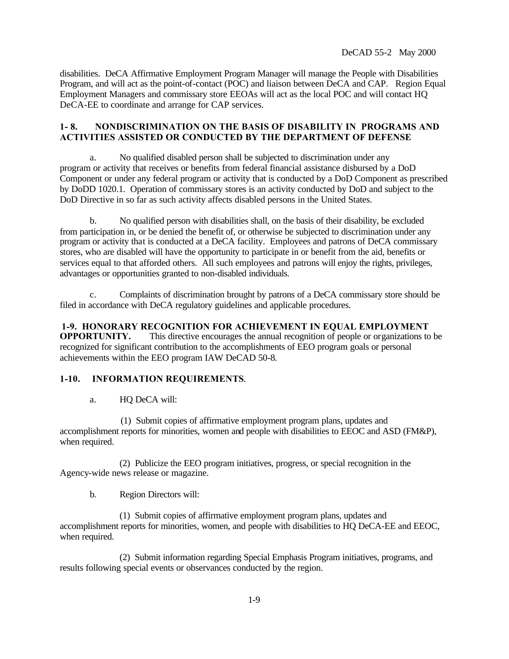disabilities. DeCA Affirmative Employment Program Manager will manage the People with Disabilities Program, and will act as the point-of-contact (POC) and liaison between DeCA and CAP. Region Equal Employment Managers and commissary store EEOAs will act as the local POC and will contact HQ DeCA-EE to coordinate and arrange for CAP services.

## **1- 8. NONDISCRIMINATION ON THE BASIS OF DISABILITY IN PROGRAMS AND ACTIVITIES ASSISTED OR CONDUCTED BY THE DEPARTMENT OF DEFENSE**

a. No qualified disabled person shall be subjected to discrimination under any program or activity that receives or benefits from federal financial assistance disbursed by a DoD Component or under any federal program or activity that is conducted by a DoD Component as prescribed by DoDD 1020.1. Operation of commissary stores is an activity conducted by DoD and subject to the DoD Directive in so far as such activity affects disabled persons in the United States.

b. No qualified person with disabilities shall, on the basis of their disability, be excluded from participation in, or be denied the benefit of, or otherwise be subjected to discrimination under any program or activity that is conducted at a DeCA facility. Employees and patrons of DeCA commissary stores, who are disabled will have the opportunity to participate in or benefit from the aid, benefits or services equal to that afforded others. All such employees and patrons will enjoy the rights, privileges, advantages or opportunities granted to non-disabled individuals.

c. Complaints of discrimination brought by patrons of a DeCA commissary store should be filed in accordance with DeCA regulatory guidelines and applicable procedures.

**1-9. HONORARY RECOGNITION FOR ACHIEVEMENT IN EQUAL EMPLOYMENT OPPORTUNITY.** This directive encourages the annual recognition of people or organizations to be recognized for significant contribution to the accomplishments of EEO program goals or personal achievements within the EEO program IAW DeCAD 50-8.

## **1-10. INFORMATION REQUIREMENTS**.

a. HQ DeCA will:

 (1) Submit copies of affirmative employment program plans, updates and accomplishment reports for minorities, women and people with disabilities to EEOC and ASD (FM&P), when required.

 (2) Publicize the EEO program initiatives, progress, or special recognition in the Agency-wide news release or magazine.

b. Region Directors will:

 (1) Submit copies of affirmative employment program plans, updates and accomplishment reports for minorities, women, and people with disabilities to HQ DeCA-EE and EEOC, when required.

 (2) Submit information regarding Special Emphasis Program initiatives, programs, and results following special events or observances conducted by the region.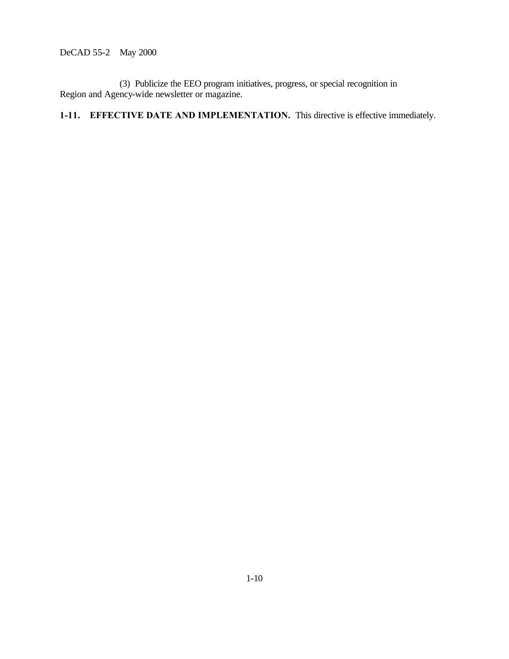(3) Publicize the EEO program initiatives, progress, or special recognition in Region and Agency-wide newsletter or magazine.

**1-11. EFFECTIVE DATE AND IMPLEMENTATION.** This directive is effective immediately.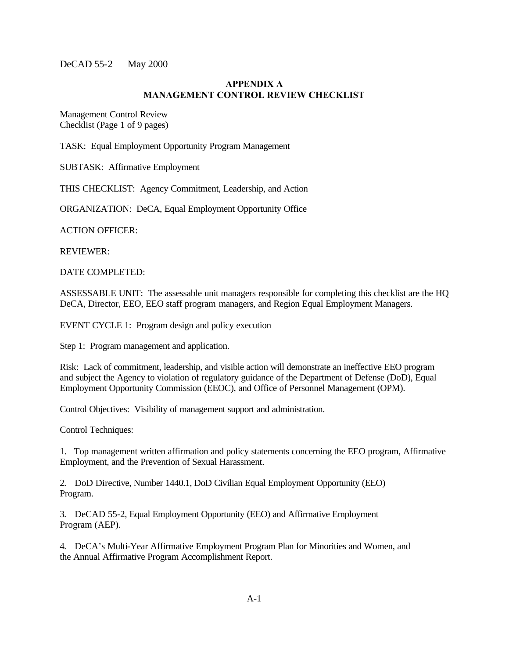#### **APPENDIX A MANAGEMENT CONTROL REVIEW CHECKLIST**

Management Control Review Checklist (Page 1 of 9 pages)

TASK: Equal Employment Opportunity Program Management

SUBTASK: Affirmative Employment

THIS CHECKLIST: Agency Commitment, Leadership, and Action

ORGANIZATION: DeCA, Equal Employment Opportunity Office

ACTION OFFICER:

REVIEWER:

DATE COMPLETED:

ASSESSABLE UNIT: The assessable unit managers responsible for completing this checklist are the HQ DeCA, Director, EEO, EEO staff program managers, and Region Equal Employment Managers.

EVENT CYCLE 1: Program design and policy execution

Step 1: Program management and application.

Risk: Lack of commitment, leadership, and visible action will demonstrate an ineffective EEO program and subject the Agency to violation of regulatory guidance of the Department of Defense (DoD), Equal Employment Opportunity Commission (EEOC), and Office of Personnel Management (OPM).

Control Objectives: Visibility of management support and administration.

Control Techniques:

1. Top management written affirmation and policy statements concerning the EEO program, Affirmative Employment, and the Prevention of Sexual Harassment.

2. DoD Directive, Number 1440.1, DoD Civilian Equal Employment Opportunity (EEO) Program.

3. DeCAD 55-2, Equal Employment Opportunity (EEO) and Affirmative Employment Program (AEP).

4. DeCA's Multi-Year Affirmative Employment Program Plan for Minorities and Women, and the Annual Affirmative Program Accomplishment Report.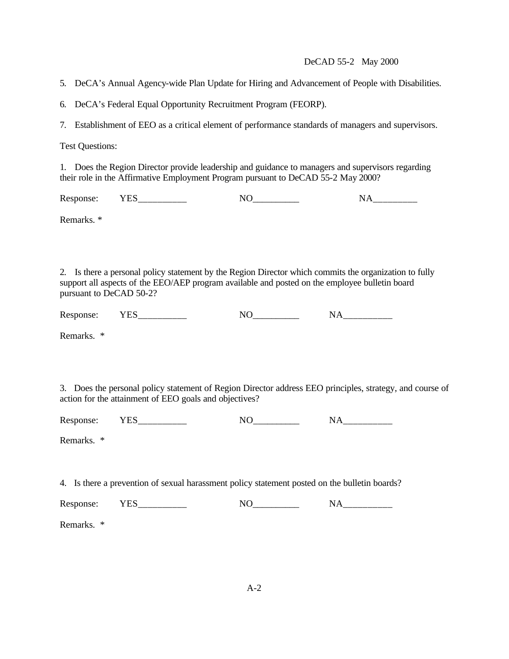5. DeCA's Annual Agency-wide Plan Update for Hiring and Advancement of People with Disabilities.

6. DeCA's Federal Equal Opportunity Recruitment Program (FEORP).

7. Establishment of EEO as a critical element of performance standards of managers and supervisors.

Test Questions:

1. Does the Region Director provide leadership and guidance to managers and supervisors regarding their role in the Affirmative Employment Program pursuant to DeCAD 55-2 May 2000?

Response: YES\_\_\_\_\_\_\_\_\_\_ NO\_\_\_\_\_\_\_\_\_ NA\_\_\_\_\_\_\_\_\_

Remarks. \*

2. Is there a personal policy statement by the Region Director which commits the organization to fully support all aspects of the EEO/AEP program available and posted on the employee bulletin board pursuant to DeCAD 50-2?

| $\overline{\phantom{a}}$<br>$\mathbf k$<br>. | -<br>____ | - | -<br>____<br>__ |
|----------------------------------------------|-----------|---|-----------------|
|----------------------------------------------|-----------|---|-----------------|

Remarks. \*

3. Does the personal policy statement of Region Director address EEO principles, strategy, and course of action for the attainment of EEO goals and objectives?

Response: YES\_\_\_\_\_\_\_\_\_\_\_ NO\_\_\_\_\_\_\_\_\_ NA\_\_\_\_\_\_\_\_\_\_

Remarks. \*

4. Is there a prevention of sexual harassment policy statement posted on the bulletin boards?

Response: YES\_\_\_\_\_\_\_\_\_\_\_ NO\_\_\_\_\_\_\_\_\_ NA\_\_\_\_\_\_\_\_\_\_

Remarks. \*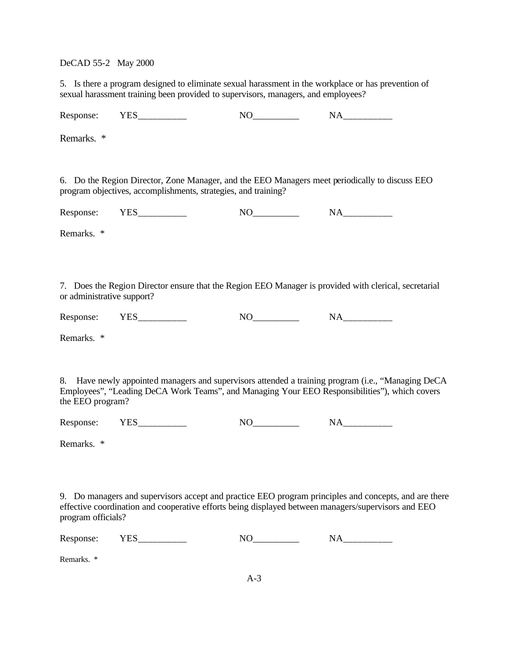5. Is there a program designed to eliminate sexual harassment in the workplace or has prevention of sexual harassment training been provided to supervisors, managers, and employees?

Response: YES\_\_\_\_\_\_\_\_\_\_\_ NO\_\_\_\_\_\_\_\_\_ NA\_\_\_\_\_\_\_\_\_\_

Remarks. \*

6. Do the Region Director, Zone Manager, and the EEO Managers meet periodically to discuss EEO program objectives, accomplishments, strategies, and training?

Response: YES\_\_\_\_\_\_\_\_\_\_ NO\_\_\_\_\_\_\_\_\_\_ NA\_\_\_\_\_\_\_\_\_\_

Remarks. \*

7. Does the Region Director ensure that the Region EEO Manager is provided with clerical, secretarial or administrative support?

Response: YES\_\_\_\_\_\_\_\_\_\_\_ NO\_\_\_\_\_\_\_\_\_ NA\_\_\_\_\_\_\_\_\_\_

Remarks. \*

8. Have newly appointed managers and supervisors attended a training program (i.e., "Managing DeCA Employees", "Leading DeCA Work Teams", and Managing Your EEO Responsibilities"), which covers the EEO program?

Response: YES\_\_\_\_\_\_\_\_\_\_\_ NO\_\_\_\_\_\_\_\_\_ NA\_\_\_\_\_\_\_\_\_\_

Remarks. \*

9. Do managers and supervisors accept and practice EEO program principles and concepts, and are there effective coordination and cooperative efforts being displayed between managers/supervisors and EEO program officials?

| -<br>.<br>____ | $\overline{\phantom{a}}$<br>Kc<br>- |  |  |  |
|----------------|-------------------------------------|--|--|--|
|----------------|-------------------------------------|--|--|--|

Remarks. \*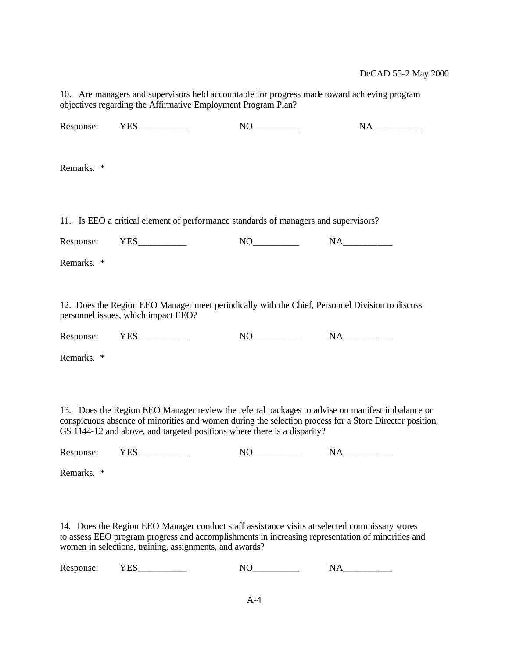10. Are managers and supervisors held accountable for progress made toward achieving program objectives regarding the Affirmative Employment Program Plan?

Response: YES\_\_\_\_\_\_\_\_\_\_\_ NO\_\_\_\_\_\_\_\_\_ NA\_\_\_\_\_\_\_\_\_\_ Remarks. \* 11. Is EEO a critical element of performance standards of managers and supervisors? Response: YES\_\_\_\_\_\_\_\_\_\_\_ NO\_\_\_\_\_\_\_\_\_ NA\_\_\_\_\_\_\_\_\_\_ Remarks. \* 12. Does the Region EEO Manager meet periodically with the Chief, Personnel Division to discuss personnel issues, which impact EEO? Response: YES\_\_\_\_\_\_\_\_\_\_\_ NO\_\_\_\_\_\_\_\_\_ NA\_\_\_\_\_\_\_\_\_\_ Remarks. \* 13. Does the Region EEO Manager review the referral packages to advise on manifest imbalance or conspicuous absence of minorities and women during the selection process for a Store Director position, GS 1144-12 and above, and targeted positions where there is a disparity?

Response: YES\_\_\_\_\_\_\_\_\_\_ NO\_\_\_\_\_\_\_\_\_ NA\_\_\_\_\_\_\_\_\_

Remarks. \*

14. Does the Region EEO Manager conduct staff assistance visits at selected commissary stores to assess EEO program progress and accomplishments in increasing representation of minorities and women in selections, training, assignments, and awards?

Response: YES\_\_\_\_\_\_\_\_\_\_ NO\_\_\_\_\_\_\_\_\_\_ NA\_\_\_\_\_\_\_\_\_\_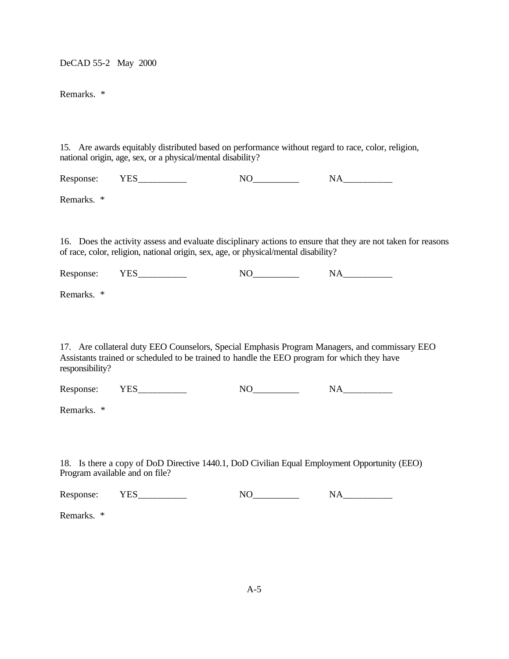Remarks. \*

15. Are awards equitably distributed based on performance without regard to race, color, religion, national origin, age, sex, or a physical/mental disability?

Response: YES\_\_\_\_\_\_\_\_\_\_\_ NO\_\_\_\_\_\_\_\_\_ NA\_\_\_\_\_\_\_\_\_\_

Remarks. \*

16. Does the activity assess and evaluate disciplinary actions to ensure that they are not taken for reasons of race, color, religion, national origin, sex, age, or physical/mental disability?

Response: YES\_\_\_\_\_\_\_\_\_\_\_\_ NO\_\_\_\_\_\_\_\_\_\_ NA\_\_\_\_\_\_\_\_\_\_\_

Remarks. \*

17. Are collateral duty EEO Counselors, Special Emphasis Program Managers, and commissary EEO Assistants trained or scheduled to be trained to handle the EEO program for which they have responsibility?

Response: YES\_\_\_\_\_\_\_\_\_\_ NO\_\_\_\_\_\_\_\_\_\_ NA\_\_\_\_\_\_\_\_\_\_

Remarks. \*

18. Is there a copy of DoD Directive 1440.1, DoD Civilian Equal Employment Opportunity (EEO) Program available and on file?

| $\sim$ |       |        |     |
|--------|-------|--------|-----|
| Res    |       | $\sim$ |     |
|        | _____ |        | ___ |
|        |       |        |     |

Remarks. \*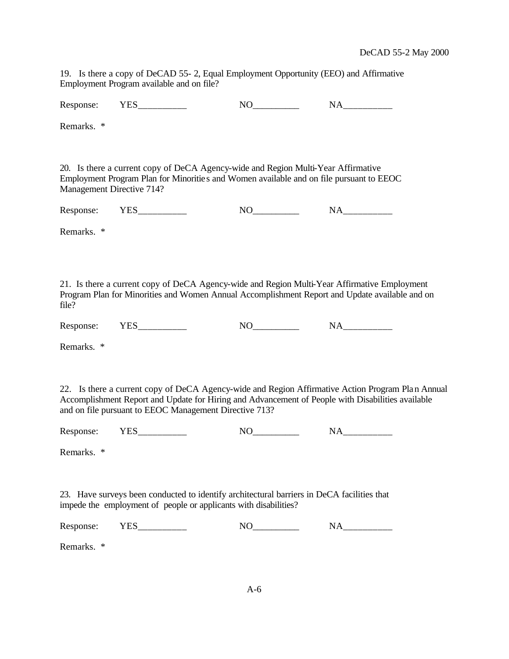19. Is there a copy of DeCAD 55- 2, Equal Employment Opportunity (EEO) and Affirmative Employment Program available and on file?

|                           | Response: YES___________                                                                                                                                                                       | $NO$ $NA$ $NA$ |                                                                                                   |
|---------------------------|------------------------------------------------------------------------------------------------------------------------------------------------------------------------------------------------|----------------|---------------------------------------------------------------------------------------------------|
| Remarks. *                |                                                                                                                                                                                                |                |                                                                                                   |
| Management Directive 714? | 20. Is there a current copy of DeCA Agency-wide and Region Multi-Year Affirmative<br>Employment Program Plan for Minorities and Women available and on file pursuant to EEOC                   |                |                                                                                                   |
|                           | Response: YES__________                                                                                                                                                                        |                |                                                                                                   |
| Remarks. *                |                                                                                                                                                                                                |                |                                                                                                   |
| file?                     | 21. Is there a current copy of DeCA Agency-wide and Region Multi-Year Affirmative Employment<br>Program Plan for Minorities and Women Annual Accomplishment Report and Update available and on |                |                                                                                                   |
|                           | Response: YES___________                                                                                                                                                                       |                |                                                                                                   |
| Remarks. *                |                                                                                                                                                                                                |                |                                                                                                   |
|                           | Accomplishment Report and Update for Hiring and Advancement of People with Disabilities available<br>and on file pursuant to EEOC Management Directive 713?                                    |                | 22. Is there a current copy of DeCA Agency-wide and Region Affirmative Action Program Plan Annual |
|                           | Response: YES__________                                                                                                                                                                        |                |                                                                                                   |
| Remarks. *                |                                                                                                                                                                                                |                |                                                                                                   |
|                           | 23. Have surveys been conducted to identify architectural barriers in DeCA facilities that<br>impede the employment of people or applicants with disabilities?                                 |                |                                                                                                   |
| Response:                 |                                                                                                                                                                                                |                |                                                                                                   |
| Remarks. *                |                                                                                                                                                                                                |                |                                                                                                   |
|                           |                                                                                                                                                                                                |                |                                                                                                   |
|                           |                                                                                                                                                                                                | $A-6$          |                                                                                                   |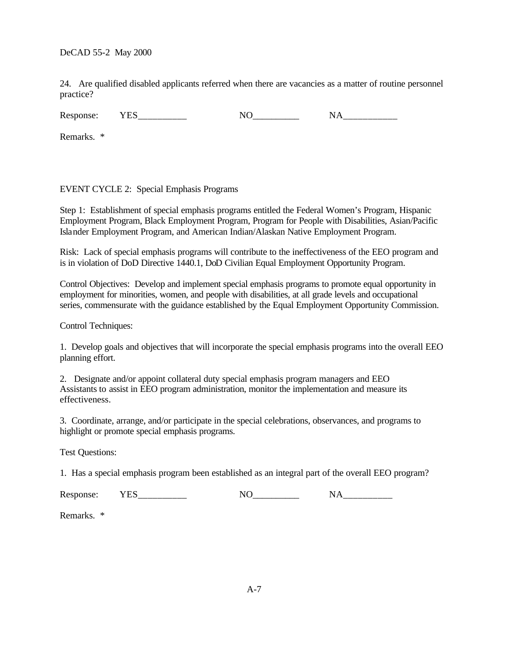24. Are qualified disabled applicants referred when there are vacancies as a matter of routine personnel practice?

Response: YES NO NA

Remarks. \*

## EVENT CYCLE 2: Special Emphasis Programs

Step 1: Establishment of special emphasis programs entitled the Federal Women's Program, Hispanic Employment Program, Black Employment Program, Program for People with Disabilities, Asian/Pacific Islander Employment Program, and American Indian/Alaskan Native Employment Program.

Risk: Lack of special emphasis programs will contribute to the ineffectiveness of the EEO program and is in violation of DoD Directive 1440.1, DoD Civilian Equal Employment Opportunity Program.

Control Objectives: Develop and implement special emphasis programs to promote equal opportunity in employment for minorities, women, and people with disabilities, at all grade levels and occupational series, commensurate with the guidance established by the Equal Employment Opportunity Commission.

Control Techniques:

1. Develop goals and objectives that will incorporate the special emphasis programs into the overall EEO planning effort.

2. Designate and/or appoint collateral duty special emphasis program managers and EEO Assistants to assist in EEO program administration, monitor the implementation and measure its effectiveness.

3. Coordinate, arrange, and/or participate in the special celebrations, observances, and programs to highlight or promote special emphasis programs.

Test Questions:

1. Has a special emphasis program been established as an integral part of the overall EEO program?

Response: YES\_\_\_\_\_\_\_\_\_\_\_ NO\_\_\_\_\_\_\_\_\_ NA\_\_\_\_\_\_\_\_\_\_

Remarks. \*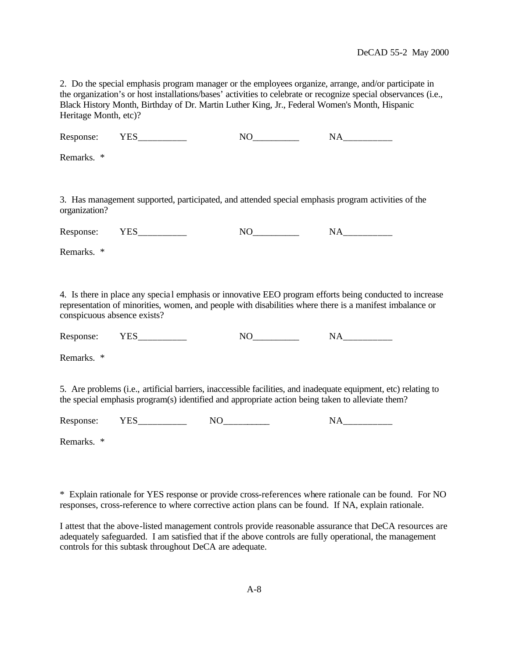2. Do the special emphasis program manager or the employees organize, arrange, and/or participate in the organization's or host installations/bases' activities to celebrate or recognize special observances (i.e., Black History Month, Birthday of Dr. Martin Luther King, Jr., Federal Women's Month, Hispanic Heritage Month, etc)?

Response: YES\_\_\_\_\_\_\_\_\_\_\_ NO\_\_\_\_\_\_\_\_\_ NA\_\_\_\_\_\_\_\_\_\_

Remarks. \*

3. Has management supported, participated, and attended special emphasis program activities of the organization?

Response: YES\_\_\_\_\_\_\_\_\_\_\_ NO\_\_\_\_\_\_\_\_\_ NA\_\_\_\_\_\_\_\_\_\_

Remarks. \*

4. Is there in place any specia l emphasis or innovative EEO program efforts being conducted to increase representation of minorities, women, and people with disabilities where there is a manifest imbalance or conspicuous absence exists?

Response: YES\_\_\_\_\_\_\_\_\_\_\_ NO\_\_\_\_\_\_\_\_\_ NA\_\_\_\_\_\_\_\_\_\_

Remarks. \*

5. Are problems (i.e., artificial barriers, inaccessible facilities, and inadequate equipment, etc) relating to the special emphasis program(s) identified and appropriate action being taken to alleviate them?

Response: YES\_\_\_\_\_\_\_\_\_\_ NO\_\_\_\_\_\_\_\_\_\_ NA\_\_\_\_\_\_\_\_\_\_

Remarks. \*

\* Explain rationale for YES response or provide cross-references where rationale can be found. For NO responses, cross-reference to where corrective action plans can be found. If NA, explain rationale.

I attest that the above-listed management controls provide reasonable assurance that DeCA resources are adequately safeguarded. I am satisfied that if the above controls are fully operational, the management controls for this subtask throughout DeCA are adequate.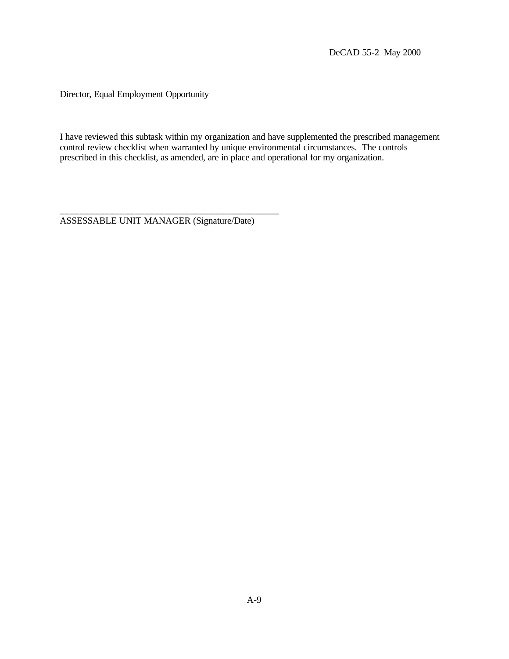Director, Equal Employment Opportunity

I have reviewed this subtask within my organization and have supplemented the prescribed management control review checklist when warranted by unique environmental circumstances. The controls prescribed in this checklist, as amended, are in place and operational for my organization.

\_\_\_\_\_\_\_\_\_\_\_\_\_\_\_\_\_\_\_\_\_\_\_\_\_\_\_\_\_\_\_\_\_\_\_\_\_\_\_\_\_\_\_\_ ASSESSABLE UNIT MANAGER (Signature/Date)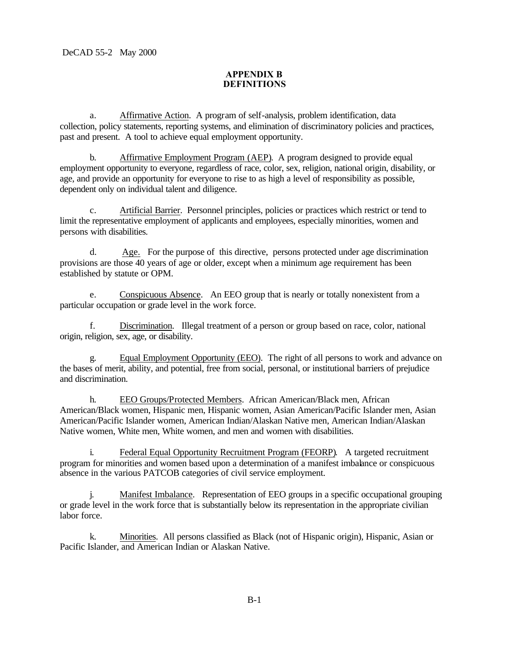# **APPENDIX B DEFINITIONS**

a. Affirmative Action. A program of self-analysis, problem identification, data collection, policy statements, reporting systems, and elimination of discriminatory policies and practices, past and present. A tool to achieve equal employment opportunity.

b. Affirmative Employment Program (AEP). A program designed to provide equal employment opportunity to everyone, regardless of race, color, sex, religion, national origin, disability, or age, and provide an opportunity for everyone to rise to as high a level of responsibility as possible, dependent only on individual talent and diligence.

c. Artificial Barrier. Personnel principles, policies or practices which restrict or tend to limit the representative employment of applicants and employees, especially minorities, women and persons with disabilities.

d. Age. For the purpose of this directive, persons protected under age discrimination provisions are those 40 years of age or older, except when a minimum age requirement has been established by statute or OPM.

e. Conspicuous Absence. An EEO group that is nearly or totally nonexistent from a particular occupation or grade level in the work force.

f. Discrimination. Illegal treatment of a person or group based on race, color, national origin, religion, sex, age, or disability.

g. Equal Employment Opportunity (EEO). The right of all persons to work and advance on the bases of merit, ability, and potential, free from social, personal, or institutional barriers of prejudice and discrimination.

h. EEO Groups/Protected Members. African American/Black men, African American/Black women, Hispanic men, Hispanic women, Asian American/Pacific Islander men, Asian American/Pacific Islander women, American Indian/Alaskan Native men, American Indian/Alaskan Native women, White men, White women, and men and women with disabilities.

i. Federal Equal Opportunity Recruitment Program (FEORP). A targeted recruitment program for minorities and women based upon a determination of a manifest imbalance or conspicuous absence in the various PATCOB categories of civil service employment.

j. Manifest Imbalance. Representation of EEO groups in a specific occupational grouping or grade level in the work force that is substantially below its representation in the appropriate civilian labor force.

k. Minorities. All persons classified as Black (not of Hispanic origin), Hispanic, Asian or Pacific Islander, and American Indian or Alaskan Native.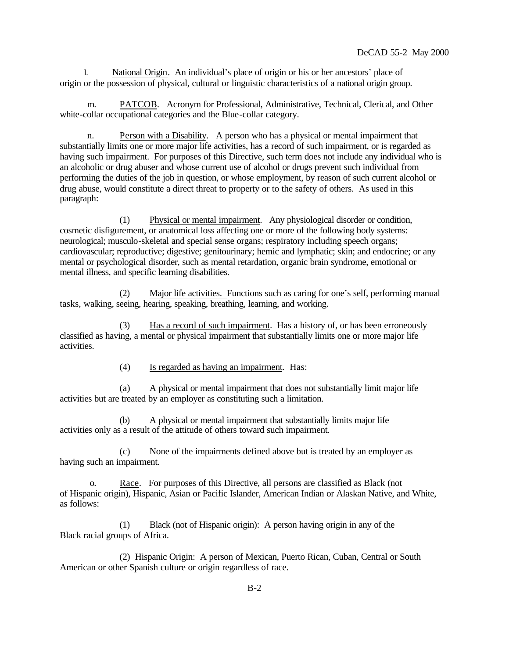l. National Origin. An individual's place of origin or his or her ancestors' place of origin or the possession of physical, cultural or linguistic characteristics of a national origin group.

 m. PATCOB. Acronym for Professional, Administrative, Technical, Clerical, and Other white-collar occupational categories and the Blue-collar category.

 n. Person with a Disability. A person who has a physical or mental impairment that substantially limits one or more major life activities, has a record of such impairment, or is regarded as having such impairment. For purposes of this Directive, such term does not include any individual who is an alcoholic or drug abuser and whose current use of alcohol or drugs prevent such individual from performing the duties of the job in question, or whose employment, by reason of such current alcohol or drug abuse, would constitute a direct threat to property or to the safety of others. As used in this paragraph:

(1) Physical or mental impairment. Any physiological disorder or condition, cosmetic disfigurement, or anatomical loss affecting one or more of the following body systems: neurological; musculo-skeletal and special sense organs; respiratory including speech organs; cardiovascular; reproductive; digestive; genitourinary; hemic and lymphatic; skin; and endocrine; or any mental or psychological disorder, such as mental retardation, organic brain syndrome, emotional or mental illness, and specific learning disabilities.

(2) Major life activities. Functions such as caring for one's self, performing manual tasks, walking, seeing, hearing, speaking, breathing, learning, and working.

(3) Has a record of such impairment. Has a history of, or has been erroneously classified as having, a mental or physical impairment that substantially limits one or more major life activities.

(4) Is regarded as having an impairment. Has:

(a) A physical or mental impairment that does not substantially limit major life activities but are treated by an employer as constituting such a limitation.

(b) A physical or mental impairment that substantially limits major life activities only as a result of the attitude of others toward such impairment.

(c) None of the impairments defined above but is treated by an employer as having such an impairment.

o. Race. For purposes of this Directive, all persons are classified as Black (not of Hispanic origin), Hispanic, Asian or Pacific Islander, American Indian or Alaskan Native, and White, as follows:

(1) Black (not of Hispanic origin): A person having origin in any of the Black racial groups of Africa.

(2) Hispanic Origin: A person of Mexican, Puerto Rican, Cuban, Central or South American or other Spanish culture or origin regardless of race.